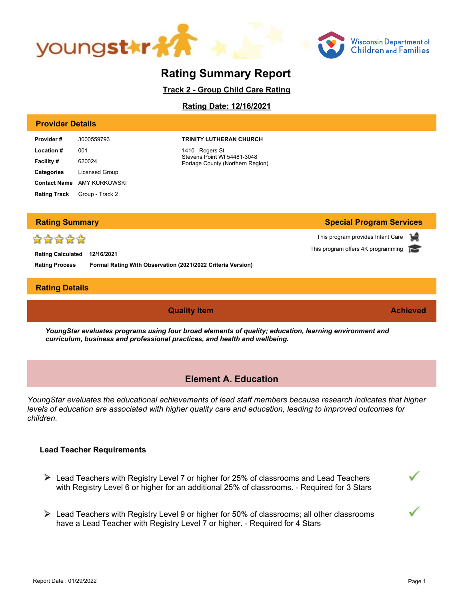



**Special Program Services**

This program provides Infant Care This program offers 4K programming

# **Rating Summary Report**

**Track 2 - Group Child Care Rating**

**Rating Date: 12/16/2021**

#### **Provider Details**

| Provider #        | 3000559793                          |
|-------------------|-------------------------------------|
| <b>Location#</b>  | 001                                 |
| <b>Facility#</b>  | 620024                              |
| <b>Categories</b> | <b>Licensed Group</b>               |
|                   | <b>Contact Name</b> AMY KURKOWSKI   |
|                   | <b>Rating Track</b> Group - Track 2 |

#### **TRINITY LUTHERAN CHURCH**

1410 Rogers St Stevens Point WI 54481-3048 Portage County (Northern Region)

| <b>Rating Summary</b> |
|-----------------------|
|                       |

# ☆☆☆☆☆

**Rating Process Rating Calculated 12/16/2021 Formal Rating With Observation (2021/2022 Criteria Version)**

### **Rating Details**

**Quality Item Achieved**

*YoungStar evaluates programs using four broad elements of quality; education, learning environment and curriculum, business and professional practices, and health and wellbeing.*

### **Element A. Education**

*YoungStar evaluates the educational achievements of lead staff members because research indicates that higher levels of education are associated with higher quality care and education, leading to improved outcomes for children.*

### **Lead Teacher Requirements**

- $\triangleright$  Lead Teachers with Registry Level 7 or higher for 25% of classrooms and Lead Teachers with Registry Level 6 or higher for an additional 25% of classrooms. - Required for 3 Stars
- Lead Teachers with Registry Level 9 or higher for 50% of classrooms; all other classrooms have a Lead Teacher with Registry Level 7 or higher. - Required for 4 Stars

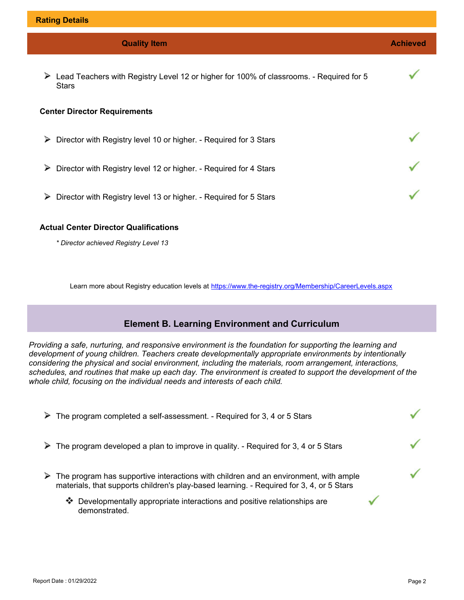| <b>Quality Item</b>                                                                                          | <b>Achieved</b> |  |
|--------------------------------------------------------------------------------------------------------------|-----------------|--|
| ⋗<br>Lead Teachers with Registry Level 12 or higher for 100% of classrooms. - Required for 5<br><b>Stars</b> |                 |  |
| <b>Center Director Requirements</b>                                                                          |                 |  |
| Director with Registry level 10 or higher. - Required for 3 Stars<br>⋗                                       |                 |  |
| ⋗<br>Director with Registry level 12 or higher. - Required for 4 Stars                                       |                 |  |
| ⋗<br>Director with Registry level 13 or higher. - Required for 5 Stars                                       |                 |  |
| <b>Actual Center Director Qualifications</b>                                                                 |                 |  |

*\* Director achieved Registry Level 13* 

Learn more about Registry education levels at <https://www.the-registry.org/Membership/CareerLevels.aspx>

# **Element B. Learning Environment and Curriculum**

*Providing a safe, nurturing, and responsive environment is the foundation for supporting the learning and development of young children. Teachers create developmentally appropriate environments by intentionally considering the physical and social environment, including the materials, room arrangement, interactions, schedules, and routines that make up each day. The environment is created to support the development of the whole child, focusing on the individual needs and interests of each child.*

| The program completed a self-assessment. - Required for 3, 4 or 5 Stars<br>⋗                                                                                                          |  |
|---------------------------------------------------------------------------------------------------------------------------------------------------------------------------------------|--|
| The program developed a plan to improve in quality. - Required for 3, 4 or 5 Stars                                                                                                    |  |
| The program has supportive interactions with children and an environment, with ample<br>⋗<br>materials, that supports children's play-based learning. - Required for 3, 4, or 5 Stars |  |
| Developmentally appropriate interactions and positive relationships are<br>❖<br>demonstrated.                                                                                         |  |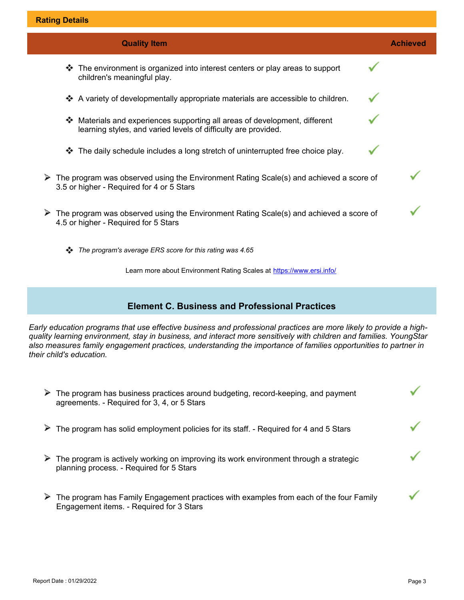| <b>Quality Item</b>                                                                                                                                  | <b>Achieved</b> |
|------------------------------------------------------------------------------------------------------------------------------------------------------|-----------------|
| The environment is organized into interest centers or play areas to support<br>∙<br>children's meaningful play.                                      |                 |
| A variety of developmentally appropriate materials are accessible to children.<br>❖                                                                  |                 |
| Materials and experiences supporting all areas of development, different<br>∙<br>learning styles, and varied levels of difficulty are provided.      |                 |
| The daily schedule includes a long stretch of uninterrupted free choice play.<br>❖                                                                   |                 |
| $\triangleright$ The program was observed using the Environment Rating Scale(s) and achieved a score of<br>3.5 or higher - Required for 4 or 5 Stars |                 |
| The program was observed using the Environment Rating Scale(s) and achieved a score of<br>4.5 or higher - Required for 5 Stars                       |                 |
| The program's average ERS score for this rating was 4.65                                                                                             |                 |

Learn more about Environment Rating Scales at <https://www.ersi.info/>

## **Element C. Business and Professional Practices**

*Early education programs that use effective business and professional practices are more likely to provide a highquality learning environment, stay in business, and interact more sensitively with children and families. YoungStar also measures family engagement practices, understanding the importance of families opportunities to partner in their child's education.*

| $\triangleright$ The program has business practices around budgeting, record-keeping, and payment<br>agreements. - Required for 3, 4, or 5 Stars   |  |
|----------------------------------------------------------------------------------------------------------------------------------------------------|--|
| $\triangleright$ The program has solid employment policies for its staff. - Required for 4 and 5 Stars                                             |  |
| $\triangleright$ The program is actively working on improving its work environment through a strategic<br>planning process. - Required for 5 Stars |  |
| The program has Family Engagement practices with examples from each of the four Family<br>Engagement items. - Required for 3 Stars                 |  |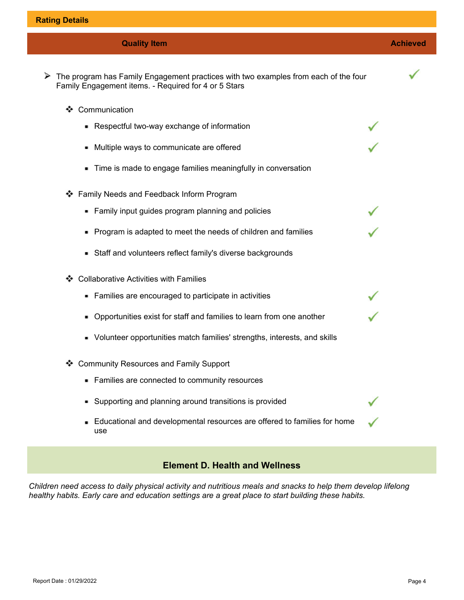| <b>Quality Item</b>                                                                                                                         | <b>Achieved</b> |
|---------------------------------------------------------------------------------------------------------------------------------------------|-----------------|
| The program has Family Engagement practices with two examples from each of the four<br>Family Engagement items. - Required for 4 or 5 Stars |                 |
| Communication<br>❖                                                                                                                          |                 |
| • Respectful two-way exchange of information                                                                                                |                 |
| - Multiple ways to communicate are offered                                                                                                  |                 |
| • Time is made to engage families meaningfully in conversation                                                                              |                 |
| Family Needs and Feedback Inform Program                                                                                                    |                 |
| • Family input guides program planning and policies                                                                                         |                 |
| • Program is adapted to meet the needs of children and families                                                                             |                 |
| • Staff and volunteers reflect family's diverse backgrounds                                                                                 |                 |
| <b>Collaborative Activities with Families</b><br>❖                                                                                          |                 |
| • Families are encouraged to participate in activities                                                                                      |                 |
| • Opportunities exist for staff and families to learn from one another                                                                      |                 |
| • Volunteer opportunities match families' strengths, interests, and skills                                                                  |                 |
| <b>Community Resources and Family Support</b>                                                                                               |                 |
| • Families are connected to community resources                                                                                             |                 |
| • Supporting and planning around transitions is provided                                                                                    |                 |
| Educational and developmental resources are offered to families for home<br>use                                                             |                 |

# **Element D. Health and Wellness**

*Children need access to daily physical activity and nutritious meals and snacks to help them develop lifelong healthy habits. Early care and education settings are a great place to start building these habits.*